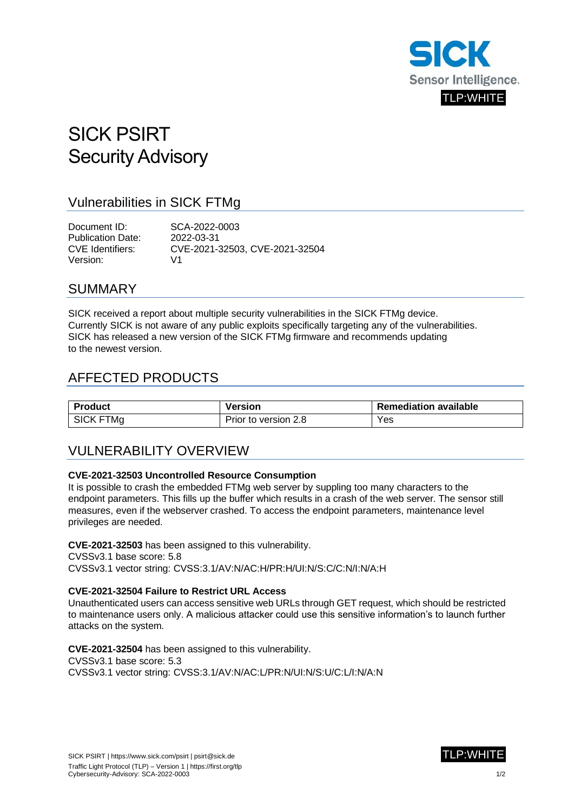

# SICK PSIRT Security Advisory

### Vulnerabilities in SICK FTMg

Document ID: SCA-2022-0003 Publication Date: 2022-03-31 CVE Identifiers: CVE-2021-32503, CVE-2021-32504 Version: V1

### SUMMARY

SICK received a report about multiple security vulnerabilities in the SICK FTMg device. Currently SICK is not aware of any public exploits specifically targeting any of the vulnerabilities. SICK has released a new version of the SICK FTMg firmware and recommends updating to the newest version.

### AFFECTED PRODUCTS

| <b>Product</b>   | Version              | <b>Remediation available</b> |
|------------------|----------------------|------------------------------|
| <b>SICK FTMg</b> | Prior to version 2.8 | Yes                          |

### VULNERABILITY OVERVIEW

#### **CVE-2021-32503 Uncontrolled Resource Consumption**

It is possible to crash the embedded FTMg web server by suppling too many characters to the endpoint parameters. This fills up the buffer which results in a crash of the web server. The sensor still measures, even if the webserver crashed. To access the endpoint parameters, maintenance level privileges are needed.

**CVE-2021-32503** has been assigned to this vulnerability.

CVSSv3.1 base score: 5.8

CVSSv3.1 vector string: CVSS:3.1/AV:N/AC:H/PR:H/UI:N/S:C/C:N/I:N/A:H

#### **CVE-2021-32504 Failure to Restrict URL Access**

Unauthenticated users can access sensitive web URLs through GET request, which should be restricted to maintenance users only. A malicious attacker could use this sensitive information's to launch further attacks on the system.

**CVE-2021-32504** has been assigned to this vulnerability. CVSSv3.1 base score: 5.3 CVSSv3.1 vector string: CVSS:3.1/AV:N/AC:L/PR:N/UI:N/S:U/C:L/I:N/A:N